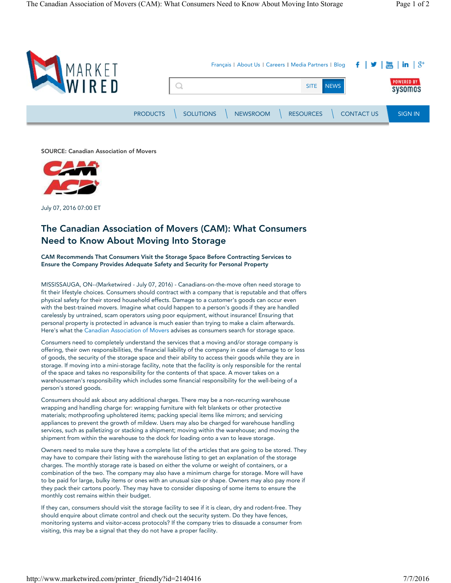

SOURCE: Canadian Association of Movers



July 07, 2016 07:00 ET

# The Canadian Association of Movers (CAM): What Consumers Need to Know About Moving Into Storage

CAM Recommends That Consumers Visit the Storage Space Before Contracting Services to Ensure the Company Provides Adequate Safety and Security for Personal Property

MISSISSAUGA, ON--(Marketwired - July 07, 2016) - Canadians-on-the-move often need storage to fit their lifestyle choices. Consumers should contract with a company that is reputable and that offers physical safety for their stored household effects. Damage to a customer's goods can occur even with the best-trained movers. Imagine what could happen to a person's goods if they are handled carelessly by untrained, scam operators using poor equipment, without insurance! Ensuring that personal property is protected in advance is much easier than trying to make a claim afterwards. Here's what the Canadian Association of Movers advises as consumers search for storage space.

Consumers need to completely understand the services that a moving and/or storage company is offering, their own responsibilities, the financial liability of the company in case of damage to or loss of goods, the security of the storage space and their ability to access their goods while they are in storage. If moving into a mini-storage facility, note that the facility is only responsible for the rental of the space and takes no responsibility for the contents of that space. A mover takes on a warehouseman's responsibility which includes some financial responsibility for the well-being of a person's stored goods.

Consumers should ask about any additional charges. There may be a non-recurring warehouse wrapping and handling charge for: wrapping furniture with felt blankets or other protective materials; mothproofing upholstered items; packing special items like mirrors; and servicing appliances to prevent the growth of mildew. Users may also be charged for warehouse handling services, such as palletizing or stacking a shipment; moving within the warehouse; and moving the shipment from within the warehouse to the dock for loading onto a van to leave storage.

Owners need to make sure they have a complete list of the articles that are going to be stored. They may have to compare their listing with the warehouse listing to get an explanation of the storage charges. The monthly storage rate is based on either the volume or weight of containers, or a combination of the two. The company may also have a minimum charge for storage. More will have to be paid for large, bulky items or ones with an unusual size or shape. Owners may also pay more if they pack their cartons poorly. They may have to consider disposing of some items to ensure the monthly cost remains within their budget.

If they can, consumers should visit the storage facility to see if it is clean, dry and rodent-free. They should enquire about climate control and check out the security system. Do they have fences, monitoring systems and visitor-access protocols? If the company tries to dissuade a consumer from visiting, this may be a signal that they do not have a proper facility.